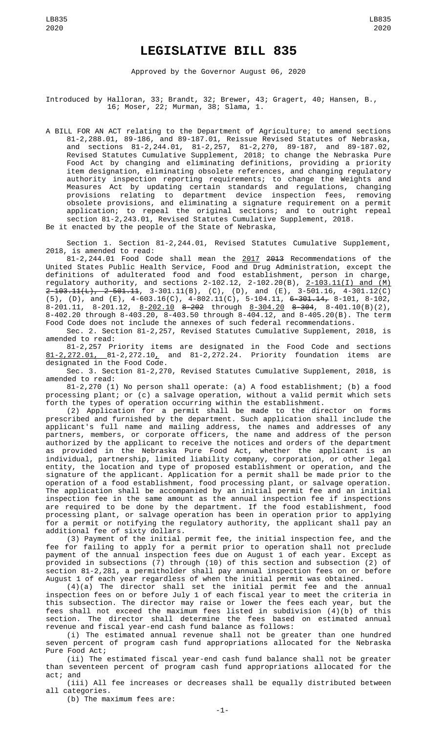## **LEGISLATIVE BILL 835**

Approved by the Governor August 06, 2020

Introduced by Halloran, 33; Brandt, 32; Brewer, 43; Gragert, 40; Hansen, B., 16; Moser, 22; Murman, 38; Slama, 1.

A BILL FOR AN ACT relating to the Department of Agriculture; to amend sections 81-2,288.01, 89-186, and 89-187.01, Reissue Revised Statutes of Nebraska, and sections 81-2,244.01, 81-2,257, 81-2,270, 89-187, and 89-187.02, Revised Statutes Cumulative Supplement, 2018; to change the Nebraska Pure Food Act by changing and eliminating definitions, providing a priority item designation, eliminating obsolete references, and changing regulatory authority inspection reporting requirements; to change the Weights and Measures Act by updating certain standards and regulations, changing provisions relating to department device inspection fees, removing obsolete provisions, and eliminating a signature requirement on a permit application; to repeal the original sections; and to outright repeal section 81-2,243.01, Revised Statutes Cumulative Supplement, 2018.

Be it enacted by the people of the State of Nebraska,

Section 1. Section 81-2,244.01, Revised Statutes Cumulative Supplement, 2018, is amended to read:

81-2,244.01 Food Code shall mean the 2017 2013 Recommendations of the United States Public Health Service, Food and Drug Administration, except the definitions of adulterated food and food establishment, person in charge, regulatory authority, and sections 2-102.12, 2-102.20(B), 2-103.11(I) and (M) 2-103.11(L), 2-501.11, 3-301.11(B), (C), (D), and (E), 3-501.16, 4-301.12(C)  $(5)$ ,  $(D)$ , and  $(E)$ , 4-603.16(C), 4-802.11(C), 5-104.11, 6-<del>301.14,</del> 8-101, 8-102, 8-201.11, 8-201.12, 8-202.10 8-202 through 8-304.20 8-304, 8-401.10(B)(2), 8-402.20 through 8-403.20, 8-403.50 through 8-404.12, and 8-405.20(B). The term Food Code does not include the annexes of such federal recommendations.

Sec. 2. Section 81-2,257, Revised Statutes Cumulative Supplement, 2018, is amended to read:

81-2,257 Priority items are designated in the Food Code and sections 81-2,272.01, 81-2,272.10, and 81-2,272.24. Priority foundation items are designated in the Food Code.

Sec. 3. Section 81-2,270, Revised Statutes Cumulative Supplement, 2018, is amended to read:

81-2,270 (1) No person shall operate: (a) A food establishment; (b) a food processing plant; or (c) a salvage operation, without a valid permit which sets forth the types of operation occurring within the establishment.

(2) Application for a permit shall be made to the director on forms prescribed and furnished by the department. Such application shall include the applicant's full name and mailing address, the names and addresses of any partners, members, or corporate officers, the name and address of the person authorized by the applicant to receive the notices and orders of the department as provided in the Nebraska Pure Food Act, whether the applicant is an individual, partnership, limited liability company, corporation, or other legal entity, the location and type of proposed establishment or operation, and the signature of the applicant. Application for a permit shall be made prior to the operation of a food establishment, food processing plant, or salvage operation. The application shall be accompanied by an initial permit fee and an initial inspection fee in the same amount as the annual inspection fee if inspections are required to be done by the department. If the food establishment, food processing plant, or salvage operation has been in operation prior to applying for a permit or notifying the regulatory authority, the applicant shall pay an additional fee of sixty dollars.

(3) Payment of the initial permit fee, the initial inspection fee, and the fee for failing to apply for a permit prior to operation shall not preclude payment of the annual inspection fees due on August 1 of each year. Except as provided in subsections (7) through (10) of this section and subsection (2) of section 81-2,281, a permitholder shall pay annual inspection fees on or before August 1 of each year regardless of when the initial permit was obtained.

(4)(a) The director shall set the initial permit fee and the annual inspection fees on or before July 1 of each fiscal year to meet the criteria in this subsection. The director may raise or lower the fees each year, but the fees shall not exceed the maximum fees listed in subdivision (4)(b) of this section. The director shall determine the fees based on estimated annual revenue and fiscal year-end cash fund balance as follows:

(i) The estimated annual revenue shall not be greater than one hundred seven percent of program cash fund appropriations allocated for the Nebraska Pure Food Act;

(ii) The estimated fiscal year-end cash fund balance shall not be greater than seventeen percent of program cash fund appropriations allocated for the act; and

(iii) All fee increases or decreases shall be equally distributed between all categories.

(b) The maximum fees are: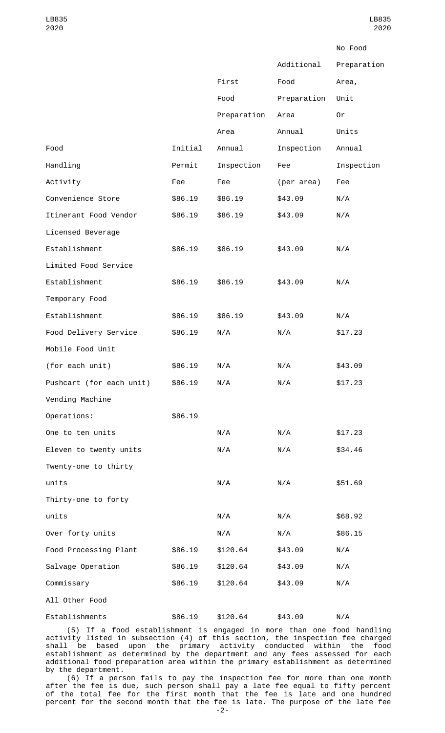|                          |         |             |             | No Food     |
|--------------------------|---------|-------------|-------------|-------------|
|                          |         |             | Additional  | Preparation |
|                          |         | First       | Food        | Area,       |
|                          |         | Food        | Preparation | Unit        |
|                          |         | Preparation | Area        | 0r          |
|                          |         | Area        | Annual      | Units       |
| Food                     | Initial | Annual      | Inspection  | Annual      |
| Handling                 | Permit  | Inspection  | Fee         | Inspection  |
| Activity                 | Fee     | Fee         | (per area)  | Fee         |
| Convenience Store        | \$86.19 | \$86.19     | \$43.09     | N/A         |
| Itinerant Food Vendor    | \$86.19 | \$86.19     | \$43.09     | N/A         |
| Licensed Beverage        |         |             |             |             |
| Establishment            | \$86.19 | \$86.19     | \$43.09     | N/A         |
| Limited Food Service     |         |             |             |             |
| Establishment            | \$86.19 | \$86.19     | \$43.09     | N/A         |
| Temporary Food           |         |             |             |             |
| Establishment            | \$86.19 | \$86.19     | \$43.09     | N/A         |
| Food Delivery Service    | \$86.19 | N/A         | N/A         | \$17.23     |
| Mobile Food Unit         |         |             |             |             |
| (for each unit)          | \$86.19 | N/A         | N/A         | \$43.09     |
| Pushcart (for each unit) | \$86.19 | N/A         | N/A         | \$17.23     |
| Vending Machine          |         |             |             |             |
| Operations:              | \$86.19 |             |             |             |
| One to ten units         |         | N/A         | N/A         | \$17.23     |
| Eleven to twenty units   |         | N/A         | N/A         | \$34.46     |
| Twenty-one to thirty     |         |             |             |             |
| units                    |         | N/A         | N/A         | \$51.69     |
| Thirty-one to forty      |         |             |             |             |
| units                    |         | N/A         | N/A         | \$68.92     |
| Over forty units         |         | N/A         | N/A         | \$86.15     |
| Food Processing Plant    | \$86.19 | \$120.64    | \$43.09     | N/A         |
| Salvage Operation        | \$86.19 | \$120.64    | \$43.09     | N/A         |
| Commissary               | \$86.19 | \$120.64    | \$43.09     | N/A         |
| All Other Food           |         |             |             |             |
| Establishments           | \$86.19 | \$120.64    | \$43.09     | N/A         |

(5) If a food establishment is engaged in more than one food handling activity listed in subsection (4) of this section, the inspection fee charged shall be based upon the primary activity conducted within the food establishment as determined by the department and any fees assessed for each additional food preparation area within the primary establishment as determined by the department.

(6) If a person fails to pay the inspection fee for more than one month after the fee is due, such person shall pay a late fee equal to fifty percent of the total fee for the first month that the fee is late and one hundred percent for the second month that the fee is late. The purpose of the late fee -2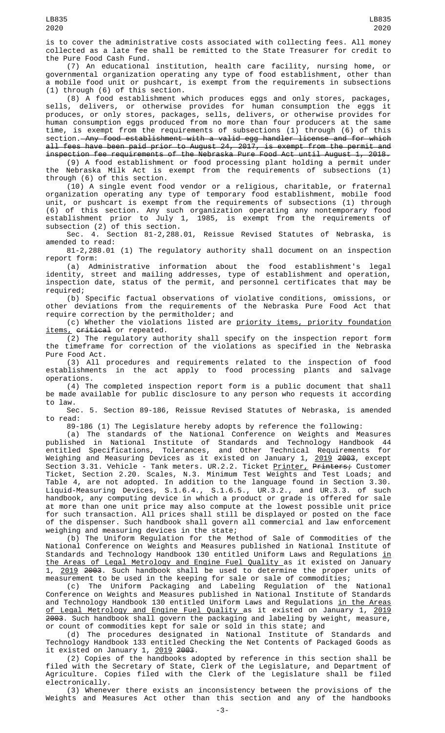is to cover the administrative costs associated with collecting fees. All money collected as a late fee shall be remitted to the State Treasurer for credit to the Pure Food Cash Fund.

(7) An educational institution, health care facility, nursing home, or governmental organization operating any type of food establishment, other than a mobile food unit or pushcart, is exempt from the requirements in subsections (1) through (6) of this section.

(8) A food establishment which produces eggs and only stores, packages, sells, delivers, or otherwise provides for human consumption the eggs it produces, or only stores, packages, sells, delivers, or otherwise provides for human consumption eggs produced from no more than four producers at the same time, is exempt from the requirements of subsections (1) through (6) of this section. Any food establishment with a valid egg handler license and for which all fees have been paid prior to August 24, 2017, is exempt from the permit and inspection fee requirements of the Nebraska Pure Food Act until August 1, 2018.

(9) A food establishment or food processing plant holding a permit under the Nebraska Milk Act is exempt from the requirements of subsections (1) through (6) of this section.

(10) A single event food vendor or a religious, charitable, or fraternal organization operating any type of temporary food establishment, mobile food unit, or pushcart is exempt from the requirements of subsections (1) through (6) of this section. Any such organization operating any nontemporary food establishment prior to July 1, 1985, is exempt from the requirements of subsection (2) of this section.

Sec. 4. Section 81-2,288.01, Reissue Revised Statutes of Nebraska, is amended to read:

81-2,288.01 (1) The regulatory authority shall document on an inspection report form:

(a) Administrative information about the food establishment's legal identity, street and mailing addresses, type of establishment and operation, inspection date, status of the permit, and personnel certificates that may be required;

(b) Specific factual observations of violative conditions, omissions, or other deviations from the requirements of the Nebraska Pure Food Act that require correction by the permitholder; and

(c) Whether the violations listed are priority items, priority foundation items, critical or repeated.

(2) The regulatory authority shall specify on the inspection report form the timeframe for correction of the violations as specified in the Nebraska Pure Food Act.

(3) All procedures and requirements related to the inspection of food establishments in the act apply to food processing plants and salvage operations.

(4) The completed inspection report form is a public document that shall be made available for public disclosure to any person who requests it according to law.

Sec. 5. Section 89-186, Reissue Revised Statutes of Nebraska, is amended to read:

89-186 (1) The Legislature hereby adopts by reference the following:

(a) The standards of the National Conference on Weights and Measures published in National Institute of Standards and Technology Handbook 44 entitled Specifications, Tolerances, and Other Technical Requirements for Weighing and Measuring Devices as it existed on January 1, <u>2019</u> <del>2003</del>, except Section 3.31. Vehicle - Tank meters. UR.2.2. Ticket <u>Printer,</u> P<del>rinters;</del> Customer Ticket, Section 2.20. Scales, N.3. Minimum Test Weights and Test Loads; and Table 4, are not adopted. In addition to the language found in Section 3.30. Liquid-Measuring Devices, S.1.6.4., S.1.6.5., UR.3.2., and UR.3.3. of such handbook, any computing device in which a product or grade is offered for sale at more than one unit price may also compute at the lowest possible unit price for such transaction. All prices shall still be displayed or posted on the face of the dispenser. Such handbook shall govern all commercial and law enforcement weighing and measuring devices in the state;

(b) The Uniform Regulation for the Method of Sale of Commodities of the National Conference on Weights and Measures published in National Institute of Standards and Technology Handbook 130 entitled Uniform Laws and Regulations in the Areas of Legal Metrology and Engine Fuel Quality as it existed on January 1, 2019 2003. Such handbook shall be used to determine the proper units of measurement to be used in the keeping for sale or sale of commodities;

(c) The Uniform Packaging and Labeling Regulation of the National Conference on Weights and Measures published in National Institute of Standards and Technology Handbook 130 entitled Uniform Laws and Regulations <u>in the Areas</u> of Legal Metrology and Engine Fuel Quality as it existed on January 1, 2019 2003. Such handbook shall govern the packaging and labeling by weight, measure, or count of commodities kept for sale or sold in this state; and

(d) The procedures designated in National Institute of Standards and Technology Handbook 133 entitled Checking the Net Contents of Packaged Goods as it existed on January 1, 2019 2003.

(2) Copies of the handbooks adopted by reference in this section shall be filed with the Secretary of State, Clerk of the Legislature, and Department of Agriculture. Copies filed with the Clerk of the Legislature shall be filed electronically.

(3) Whenever there exists an inconsistency between the provisions of the Weights and Measures Act other than this section and any of the handbooks

LB835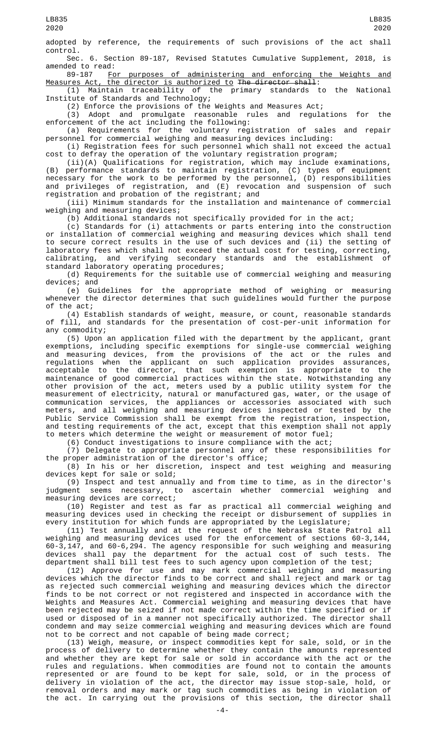adopted by reference, the requirements of such provisions of the act shall control.

Sec. 6. Section 89-187, Revised Statutes Cumulative Supplement, 2018, is amended to read:<br>89-187 Fo

For purposes of administering and enforcing the Weights and Measures Act, the director is authorized to The director shall:

(1) Maintain traceability of the primary standards to the National Institute of Standards and Technology;

(2) Enforce the provisions of the Weights and Measures Act;

(3) Adopt and promulgate reasonable rules and regulations for the enforcement of the act including the following:

(a) Requirements for the voluntary registration of sales and repair personnel for commercial weighing and measuring devices including:

(i) Registration fees for such personnel which shall not exceed the actual cost to defray the operation of the voluntary registration program;

(ii)(A) Qualifications for registration, which may include examinations, (B) performance standards to maintain registration, (C) types of equipment necessary for the work to be performed by the personnel, (D) responsibilities and privileges of registration, and (E) revocation and suspension of such registration and probation of the registrant; and

(iii) Minimum standards for the installation and maintenance of commercial weighing and measuring devices;

(b) Additional standards not specifically provided for in the act;

(c) Standards for (i) attachments or parts entering into the construction or installation of commercial weighing and measuring devices which shall tend to secure correct results in the use of such devices and (ii) the setting of laboratory fees which shall not exceed the actual cost for testing, correcting, calibrating, and verifying secondary standards and the establishment of standard laboratory operating procedures;

(d) Requirements for the suitable use of commercial weighing and measuring devices; and

(e) Guidelines for the appropriate method of weighing or measuring whenever the director determines that such guidelines would further the purpose of the act;

(4) Establish standards of weight, measure, or count, reasonable standards of fill, and standards for the presentation of cost-per-unit information for any commodity;

(5) Upon an application filed with the department by the applicant, grant exemptions, including specific exemptions for single-use commercial weighing and measuring devices, from the provisions of the act or the rules and regulations when the applicant on such application provides assurances, acceptable to the director, that such exemption is appropriate to the maintenance of good commercial practices within the state. Notwithstanding any other provision of the act, meters used by a public utility system for the measurement of electricity, natural or manufactured gas, water, or the usage of communication services, the appliances or accessories associated with such meters, and all weighing and measuring devices inspected or tested by the Public Service Commission shall be exempt from the registration, inspection, and testing requirements of the act, except that this exemption shall not apply to meters which determine the weight or measurement of motor fuel;

(6) Conduct investigations to insure compliance with the act;

(7) Delegate to appropriate personnel any of these responsibilities for the proper administration of the director's office;

(8) In his or her discretion, inspect and test weighing and measuring devices kept for sale or sold;

(9) Inspect and test annually and from time to time, as in the director's judgment seems necessary, to ascertain whether commercial weighing and measuring devices are correct;

(10) Register and test as far as practical all commercial weighing and measuring devices used in checking the receipt or disbursement of supplies in every institution for which funds are appropriated by the Legislature;

(11) Test annually and at the request of the Nebraska State Patrol all weighing and measuring devices used for the enforcement of sections 60-3,144, 60-3,147, and 60-6,294. The agency responsible for such weighing and measuring devices shall pay the department for the actual cost of such tests. The department shall bill test fees to such agency upon completion of the test;

(12) Approve for use and may mark commercial weighing and measuring devices which the director finds to be correct and shall reject and mark or tag as rejected such commercial weighing and measuring devices which the director finds to be not correct or not registered and inspected in accordance with the Weights and Measures Act. Commercial weighing and measuring devices that have been rejected may be seized if not made correct within the time specified or if used or disposed of in a manner not specifically authorized. The director shall condemn and may seize commercial weighing and measuring devices which are found not to be correct and not capable of being made correct;

(13) Weigh, measure, or inspect commodities kept for sale, sold, or in the process of delivery to determine whether they contain the amounts represented and whether they are kept for sale or sold in accordance with the act or the rules and regulations. When commodities are found not to contain the amounts represented or are found to be kept for sale, sold, or in the process of delivery in violation of the act, the director may issue stop-sale, hold, or removal orders and may mark or tag such commodities as being in violation of the act. In carrying out the provisions of this section, the director shall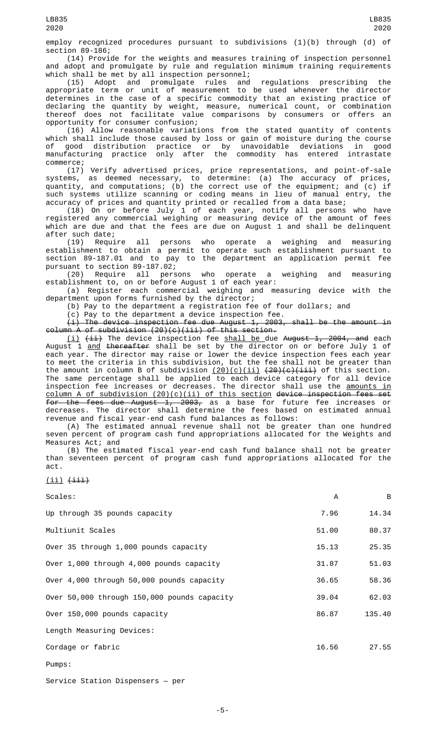employ recognized procedures pursuant to subdivisions (1)(b) through (d) of section 89-186;

(14) Provide for the weights and measures training of inspection personnel and adopt and promulgate by rule and regulation minimum training requirements which shall be met by all inspection personnel;

(15) Adopt and promulgate rules and regulations prescribing the appropriate term or unit of measurement to be used whenever the director determines in the case of a specific commodity that an existing practice of declaring the quantity by weight, measure, numerical count, or combination thereof does not facilitate value comparisons by consumers or offers an opportunity for consumer confusion;

(16) Allow reasonable variations from the stated quantity of contents which shall include those caused by loss or gain of moisture during the course of good distribution practice or by unavoidable deviations in good manufacturing practice only after the commodity has entered intrastate commerce;

(17) Verify advertised prices, price representations, and point-of-sale systems, as deemed necessary, to determine: (a) The accuracy of prices, quantity, and computations; (b) the correct use of the equipment; and (c) if such systems utilize scanning or coding means in lieu of manual entry, the accuracy of prices and quantity printed or recalled from a data base;

(18) On or before July 1 of each year, notify all persons who have registered any commercial weighing or measuring device of the amount of fees which are due and that the fees are due on August 1 and shall be delinquent after such date;

(19) Require all persons who operate a weighing and measuring establishment to obtain a permit to operate such establishment pursuant to section 89-187.01 and to pay to the department an application permit fee pursuant to section 89-187.02;

(20) Require all persons who operate a weighing and measuring establishment to, on or before August 1 of each year:

(a) Register each commercial weighing and measuring device with the department upon forms furnished by the director;

(b) Pay to the department a registration fee of four dollars; and

(c) Pay to the department a device inspection fee.

 $(i)$  The device inspection fee due August 1, 2003, shall be the amount in column A of subdivision (20)(c)(iii) of this section.

<u>(i)</u> <del>(ii)</del> The device inspection fee <u>shall be </u>due <del>August 1, 2004, and</del> each August 1 <u>and</u> <del>thereafter</del> shall be set by the director on or before July 1 of each year. The director may raise or lower the device inspection fees each year to meet the criteria in this subdivision, but the fee shall not be greater than the amount in column B of subdivision  $(20)(c)(ii)$   $(20)(c)(iii)$  of this section. The same percentage shall be applied to each device category for all device inspection fee increases or decreases. The director shall use the <u>amounts in</u> column A of subdivision (20)(c)(ii) of this section device inspection fees set for the fees due August  $1, 2003$ , as a base for future fee increases or decreases. The director shall determine the fees based on estimated annual revenue and fiscal year-end cash fund balances as follows:

(A) The estimated annual revenue shall not be greater than one hundred seven percent of program cash fund appropriations allocated for the Weights and Measures Act; and

(B) The estimated fiscal year-end cash fund balance shall not be greater than seventeen percent of program cash fund appropriations allocated for the act.

 $(ii)$   $(iii)$ 

Scales: A B Up through 35 pounds capacity  $\overline{a}$  and  $\overline{a}$  and  $\overline{a}$  and  $\overline{a}$  and  $\overline{a}$  and  $\overline{a}$  and  $\overline{a}$  and  $\overline{a}$  and  $\overline{a}$  and  $\overline{a}$  and  $\overline{a}$  and  $\overline{a}$  and  $\overline{a}$  and  $\overline{a}$  and  $\overline{a}$  a Multiunit Scales 6.37 and 1990 and 1990 and 1990 and 1990 and 1990 and 1990 and 1990 and 1990 and 1990 and 199 Over 35 through 1,000 pounds capacity 15.13 15.13 25.35 Over 1,000 through 4,000 pounds capacity 31.87 51.03 Over 4,000 through 50,000 pounds capacity 36.65 58.36 Over 50,000 through 150,000 pounds capacity 39.04 62.03 Over 150,000 pounds capacity and the set of the set of the set of the set of the set of the set of the set of the set of the set of the set of the set of the set of the set of the set of the set of the set of the set of th Length Measuring Devices: Cordage or fabric the contract of the contract of the contract of the contract of the contract of the contract of the contract of the contract of the contract of the contract of the contract of the contract of the contract

Pumps:

Service Station Dispensers — per